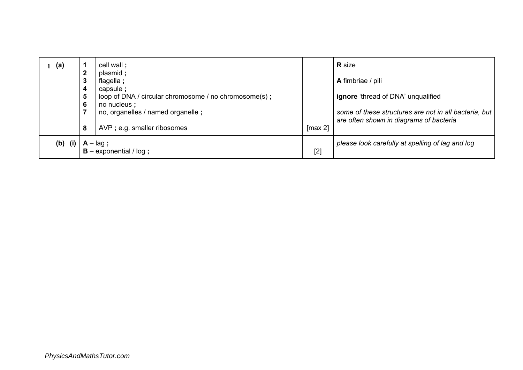| (a)       | $\mathbf{2}$                                    | cell wall;                                                         |         | <b>R</b> size                                                                                    |
|-----------|-------------------------------------------------|--------------------------------------------------------------------|---------|--------------------------------------------------------------------------------------------------|
|           | 3                                               | plasmid ;<br>flagella;                                             |         | A fimbriae / pili                                                                                |
|           | 4<br>5                                          | capsule ;<br>loop of DNA / circular chromosome / no chromosome(s); |         | <b>ignore</b> 'thread of DNA' unqualified                                                        |
|           | $6\phantom{1}6$                                 | no nucleus;<br>no, organelles / named organelle;                   |         | some of these structures are not in all bacteria, but<br>are often shown in diagrams of bacteria |
|           | 8                                               | AVP ; e.g. smaller ribosomes                                       | [max 2] |                                                                                                  |
| $(b)$ (i) | $A - \text{lag}$ ;<br>$B -$ exponential / log ; |                                                                    | [2]     | please look carefully at spelling of lag and log                                                 |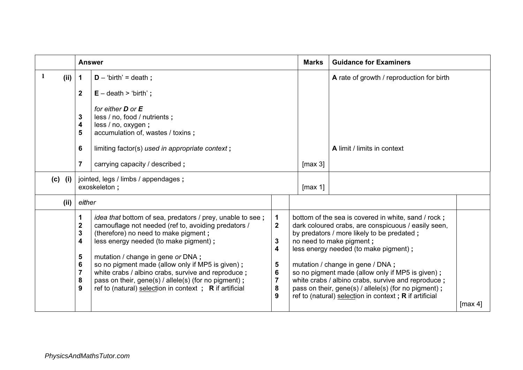|           | <b>Answer</b>                                                                                                 |                                                                                                                                                                                                                                                                                                                                                                                                                                                                           |                                                                                                                                                | <b>Marks</b>                                                                                                                                                                                                                                                                                                                                                                                                                                                                                    | <b>Guidance for Examiners</b>             |  |
|-----------|---------------------------------------------------------------------------------------------------------------|---------------------------------------------------------------------------------------------------------------------------------------------------------------------------------------------------------------------------------------------------------------------------------------------------------------------------------------------------------------------------------------------------------------------------------------------------------------------------|------------------------------------------------------------------------------------------------------------------------------------------------|-------------------------------------------------------------------------------------------------------------------------------------------------------------------------------------------------------------------------------------------------------------------------------------------------------------------------------------------------------------------------------------------------------------------------------------------------------------------------------------------------|-------------------------------------------|--|
| 1<br>(ii) | 1<br>$D - 'birth' = death;$                                                                                   |                                                                                                                                                                                                                                                                                                                                                                                                                                                                           |                                                                                                                                                |                                                                                                                                                                                                                                                                                                                                                                                                                                                                                                 | A rate of growth / reproduction for birth |  |
|           | $\mathbf{2}$                                                                                                  | $E -$ death > 'birth';                                                                                                                                                                                                                                                                                                                                                                                                                                                    |                                                                                                                                                |                                                                                                                                                                                                                                                                                                                                                                                                                                                                                                 |                                           |  |
|           | 3<br>$\overline{\mathbf{4}}$<br>5<br>6                                                                        | for either <b>D</b> or <b>E</b><br>less / no, food / nutrients;<br>less / no, oxygen;<br>accumulation of, wastes / toxins;<br>limiting factor(s) used in appropriate context;                                                                                                                                                                                                                                                                                             |                                                                                                                                                |                                                                                                                                                                                                                                                                                                                                                                                                                                                                                                 | A limit / limits in context               |  |
|           | $\overline{7}$                                                                                                | carrying capacity / described ;                                                                                                                                                                                                                                                                                                                                                                                                                                           |                                                                                                                                                |                                                                                                                                                                                                                                                                                                                                                                                                                                                                                                 |                                           |  |
| $(c)$ (i) | jointed, legs / limbs / appendages ;<br>exoskeleton;                                                          |                                                                                                                                                                                                                                                                                                                                                                                                                                                                           |                                                                                                                                                | [max 1]                                                                                                                                                                                                                                                                                                                                                                                                                                                                                         |                                           |  |
| (ii)      | either                                                                                                        |                                                                                                                                                                                                                                                                                                                                                                                                                                                                           |                                                                                                                                                |                                                                                                                                                                                                                                                                                                                                                                                                                                                                                                 |                                           |  |
|           | 1<br>$\overline{\mathbf{2}}$<br>$\mathbf{3}$<br>4<br>$\overline{\mathbf{5}}$<br>6<br>$\overline{7}$<br>8<br>9 | <i>idea that</i> bottom of sea, predators / prey, unable to see;<br>camouflage not needed (ref to, avoiding predators /<br>(therefore) no need to make pigment;<br>less energy needed (to make pigment);<br>mutation / change in gene or DNA;<br>so no pigment made (allow only if MP5 is given);<br>white crabs / albino crabs, survive and reproduce;<br>pass on their, gene(s) / allele(s) (for no pigment);<br>ref to (natural) selection in context; R if artificial | $\mathbf 1$<br>$\overline{\mathbf{2}}$<br>$\mathbf{3}$<br>$\overline{\mathbf{4}}$<br>$\sqrt{5}$<br>$6\phantom{1}6$<br>$\overline{7}$<br>8<br>9 | bottom of the sea is covered in white, sand / rock;<br>dark coloured crabs, are conspicuous / easily seen,<br>by predators / more likely to be predated;<br>no need to make pigment;<br>less energy needed (to make pigment);<br>mutation / change in gene / DNA;<br>so no pigment made (allow only if MP5 is given);<br>white crabs / albino crabs, survive and reproduce;<br>pass on their, gene(s) / allele(s) (for no pigment);<br>ref to (natural) selection in context; $R$ if artificial | $\lceil \max 4 \rceil$                    |  |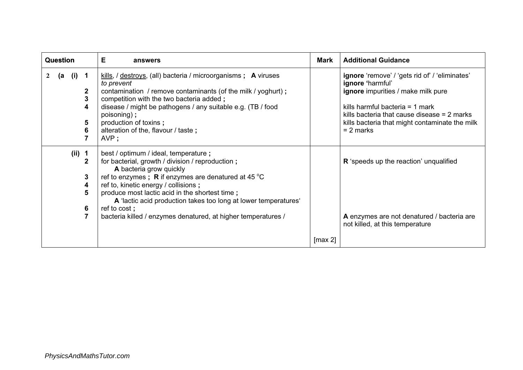| <b>Question</b>                                                                                 | Е<br>answers                                                                                                                                                                                                                                                                                                                                                                                                                        |         | <b>Additional Guidance</b>                                                                                                                                                                                                                                      |  |
|-------------------------------------------------------------------------------------------------|-------------------------------------------------------------------------------------------------------------------------------------------------------------------------------------------------------------------------------------------------------------------------------------------------------------------------------------------------------------------------------------------------------------------------------------|---------|-----------------------------------------------------------------------------------------------------------------------------------------------------------------------------------------------------------------------------------------------------------------|--|
| $(i)$ 1<br>(a<br>$\boldsymbol{2}$<br>$\mathbf 2$<br>$\overline{\mathbf{3}}$<br>4<br>5<br>6<br>7 | $kills$ , / destroys, (all) bacteria / microorganisms ; <b>A</b> viruses<br>to prevent<br>contamination / remove contaminants (of the milk / yoghurt);<br>competition with the two bacteria added;<br>disease / might be pathogens / any suitable e.g. (TB / food<br>poisoning);<br>production of toxins;<br>alteration of the, flavour / taste;<br>AVP;                                                                            |         | ignore 'remove' / 'gets rid of' / 'eliminates'<br>ignore 'harmful'<br>ignore impurities / make milk pure<br>kills harmful bacteria $=$ 1 mark<br>kills bacteria that cause disease $= 2$ marks<br>kills bacteria that might contaminate the milk<br>$= 2$ marks |  |
| $(ii)$ 1<br>$\mathbf{2}$<br>3<br>4<br>5<br>6<br>$\overline{7}$                                  | best / optimum / ideal, temperature ;<br>for bacterial, growth / division / reproduction;<br>A bacteria grow quickly<br>ref to enzymes; R if enzymes are denatured at 45 $^{\circ}$ C<br>ref to, kinetic energy / collisions;<br>produce most lactic acid in the shortest time;<br>A 'lactic acid production takes too long at lower temperatures'<br>ref to cost;<br>bacteria killed / enzymes denatured, at higher temperatures / | [max 2] | R 'speeds up the reaction' unqualified<br>A enzymes are not denatured / bacteria are<br>not killed, at this temperature                                                                                                                                         |  |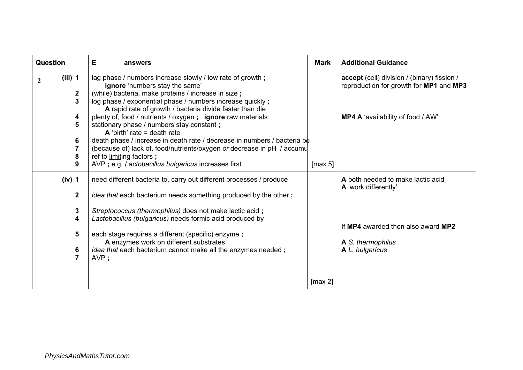| <b>Question</b>                                                                         | Е<br>answers                                                                                                                                                                                                                                                                                                                                                                                                                                                                                                                                                                                                                                                   | Mark                   | <b>Additional Guidance</b>                                                                                                              |
|-----------------------------------------------------------------------------------------|----------------------------------------------------------------------------------------------------------------------------------------------------------------------------------------------------------------------------------------------------------------------------------------------------------------------------------------------------------------------------------------------------------------------------------------------------------------------------------------------------------------------------------------------------------------------------------------------------------------------------------------------------------------|------------------------|-----------------------------------------------------------------------------------------------------------------------------------------|
| $(iii)$ 1<br>$\mathbf{2}$<br>2<br>3<br>4<br>5<br>6<br>$\overline{\mathbf{7}}$<br>8<br>9 | lag phase / numbers increase slowly / low rate of growth;<br>ignore 'numbers stay the same'<br>(while) bacteria, make proteins / increase in size;<br>log phase / exponential phase / numbers increase quickly;<br>A rapid rate of growth / bacteria divide faster than die<br>plenty of, food / nutrients / oxygen; ignore raw materials<br>stationary phase / numbers stay constant;<br>A 'birth' rate = death rate<br>death phase / increase in death rate / decrease in numbers / bacteria be<br>(because of) lack of, food/nutrients/oxygen or decrease in pH / accumu<br>ref to limiting factors;<br>AVP ; e.g. Lactobacillus bulgaricus increases first | [max 5]                | accept (cell) division / (binary) fission /<br>reproduction for growth for MP1 and MP3<br>MP4 A 'availability of food / AW'             |
| (iv) 1<br>$\mathbf{2}$<br>3<br>4<br>5<br>6<br>$\overline{7}$                            | need different bacteria to, carry out different processes / produce<br><i>idea that</i> each bacterium needs something produced by the other;<br>Streptococcus (thermophilus) does not make lactic acid;<br>Lactobacillus (bulgaricus) needs formic acid produced by<br>each stage requires a different (specific) enzyme;<br>A enzymes work on different substrates<br><i>idea that</i> each bacterium cannot make all the enzymes needed;<br>AVP;                                                                                                                                                                                                            |                        | A both needed to make lactic acid<br>A 'work differently'<br>If MP4 awarded then also award MP2<br>A S. thermophilus<br>A L. bulgaricus |
|                                                                                         |                                                                                                                                                                                                                                                                                                                                                                                                                                                                                                                                                                                                                                                                | $\lceil \max 2 \rceil$ |                                                                                                                                         |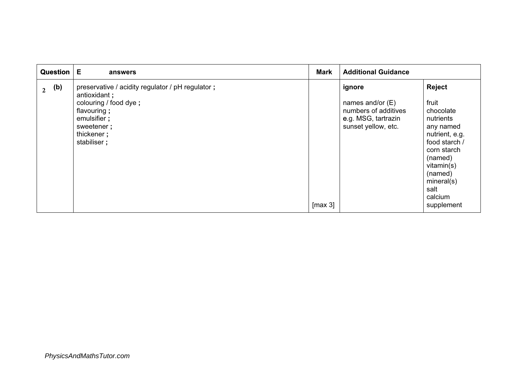| Question              | Е<br>answers                                                                                                                                                        |         | <b>Additional Guidance</b>                                                                         |                                                                                                                                                                                             |
|-----------------------|---------------------------------------------------------------------------------------------------------------------------------------------------------------------|---------|----------------------------------------------------------------------------------------------------|---------------------------------------------------------------------------------------------------------------------------------------------------------------------------------------------|
| (b)<br>$\overline{2}$ | preservative / acidity regulator / pH regulator ;<br>antioxidant;<br>colouring / food dye;<br>flavouring;<br>emulsifier;<br>sweetener;<br>thickener;<br>stabiliser; | [max 3] | ignore<br>names and/or $(E)$<br>numbers of additives<br>e.g. MSG, tartrazin<br>sunset yellow, etc. | Reject<br>fruit<br>chocolate<br>nutrients<br>any named<br>nutrient, e.g.<br>food starch /<br>corn starch<br>(named)<br>vitamin(s)<br>(named)<br>mineral(s)<br>salt<br>calcium<br>supplement |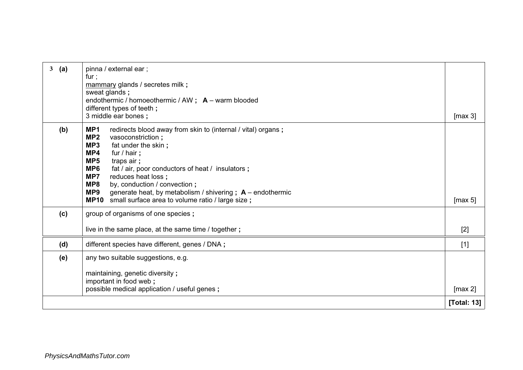| 3<br>(a) | pinna / external ear;<br>fur;<br>mammary glands / secretes milk ;<br>sweat glands;<br>endothermic / homoeothermic / AW; A - warm blooded<br>different types of teeth;<br>3 middle ear bones;                                                                                                                                                                                                                                                                                          |             |
|----------|---------------------------------------------------------------------------------------------------------------------------------------------------------------------------------------------------------------------------------------------------------------------------------------------------------------------------------------------------------------------------------------------------------------------------------------------------------------------------------------|-------------|
| (b)      | MP1<br>redirects blood away from skin to (internal / vital) organs;<br>MP <sub>2</sub><br>vasoconstriction;<br>MP3<br>fat under the skin;<br>MP4<br>fur / hair;<br>MP <sub>5</sub><br>traps air;<br>MP6<br>fat / air, poor conductors of heat / insulators;<br>MP7<br>reduces heat loss;<br>MP8<br>by, conduction / convection;<br>generate heat, by metabolism / shivering ; $A$ – endothermic<br>MP <sub>9</sub><br><b>MP10</b><br>small surface area to volume ratio / large size; | [max 5]     |
| (c)      | group of organisms of one species;                                                                                                                                                                                                                                                                                                                                                                                                                                                    |             |
|          | live in the same place, at the same time / together;                                                                                                                                                                                                                                                                                                                                                                                                                                  | $[2]$       |
| (d)      | different species have different, genes / DNA;                                                                                                                                                                                                                                                                                                                                                                                                                                        | $[1]$       |
| (e)      | any two suitable suggestions, e.g.                                                                                                                                                                                                                                                                                                                                                                                                                                                    |             |
|          | maintaining, genetic diversity;<br>important in food web;<br>possible medical application / useful genes;                                                                                                                                                                                                                                                                                                                                                                             | [max 2]     |
|          |                                                                                                                                                                                                                                                                                                                                                                                                                                                                                       | [Total: 13] |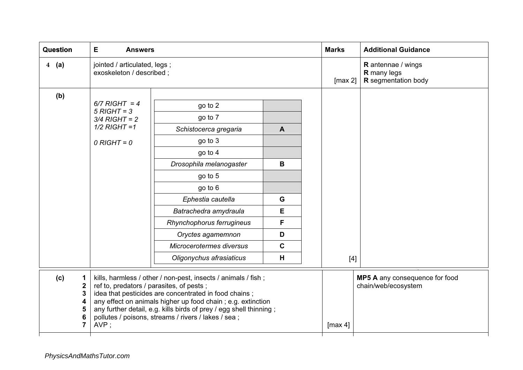| Question                                                                               | Е<br><b>Answers</b>                                                                                                                                                                                                                                                                                                                                                    |                                                                                                                                                                                                                                                                            |                                                           | <b>Marks</b> | <b>Additional Guidance</b>                                                               |
|----------------------------------------------------------------------------------------|------------------------------------------------------------------------------------------------------------------------------------------------------------------------------------------------------------------------------------------------------------------------------------------------------------------------------------------------------------------------|----------------------------------------------------------------------------------------------------------------------------------------------------------------------------------------------------------------------------------------------------------------------------|-----------------------------------------------------------|--------------|------------------------------------------------------------------------------------------|
| $4 \quad (a)$                                                                          | jointed / articulated, legs;<br>exoskeleton / described ;                                                                                                                                                                                                                                                                                                              |                                                                                                                                                                                                                                                                            |                                                           |              | <b>R</b> antennae / wings<br><b>R</b> many legs<br><b>R</b> segmentation body<br>[max 2] |
| (b)                                                                                    | $6/7$ RIGHT = 4<br>$5$ RIGHT = 3<br>$3/4$ RIGHT = 2<br>$1/2$ RIGHT = 1<br>$0$ RIGHT = $0$                                                                                                                                                                                                                                                                              | go to 2<br>go to 7<br>Schistocerca gregaria<br>go to 3<br>go to 4<br>Drosophila melanogaster<br>go to 5<br>go to 6<br>Ephestia cautella<br>Batrachedra amydraula<br>Rhynchophorus ferrugineus<br>Oryctes agamemnon<br>Microcerotermes diversus<br>Oligonychus afrasiaticus | $\mathbf{A}$<br>B<br>G<br>Е<br>F<br>D<br>$\mathbf c$<br>H | $[4]$        |                                                                                          |
| (c)<br>1<br>$\mathbf 2$<br>$\mathbf{3}$<br>4<br>5<br>$6\phantom{1}6$<br>$\overline{7}$ | kills, harmless / other / non-pest, insects / animals / fish;<br>ref to, predators / parasites, of pests;<br>idea that pesticides are concentrated in food chains;<br>any effect on animals higher up food chain; e.g. extinction<br>any further detail, e.g. kills birds of prey / egg shell thinning;<br>pollutes / poisons, streams / rivers / lakes / sea;<br>AVP; |                                                                                                                                                                                                                                                                            |                                                           | [max 4]      | MP5 A any consequence for food<br>chain/web/ecosystem                                    |